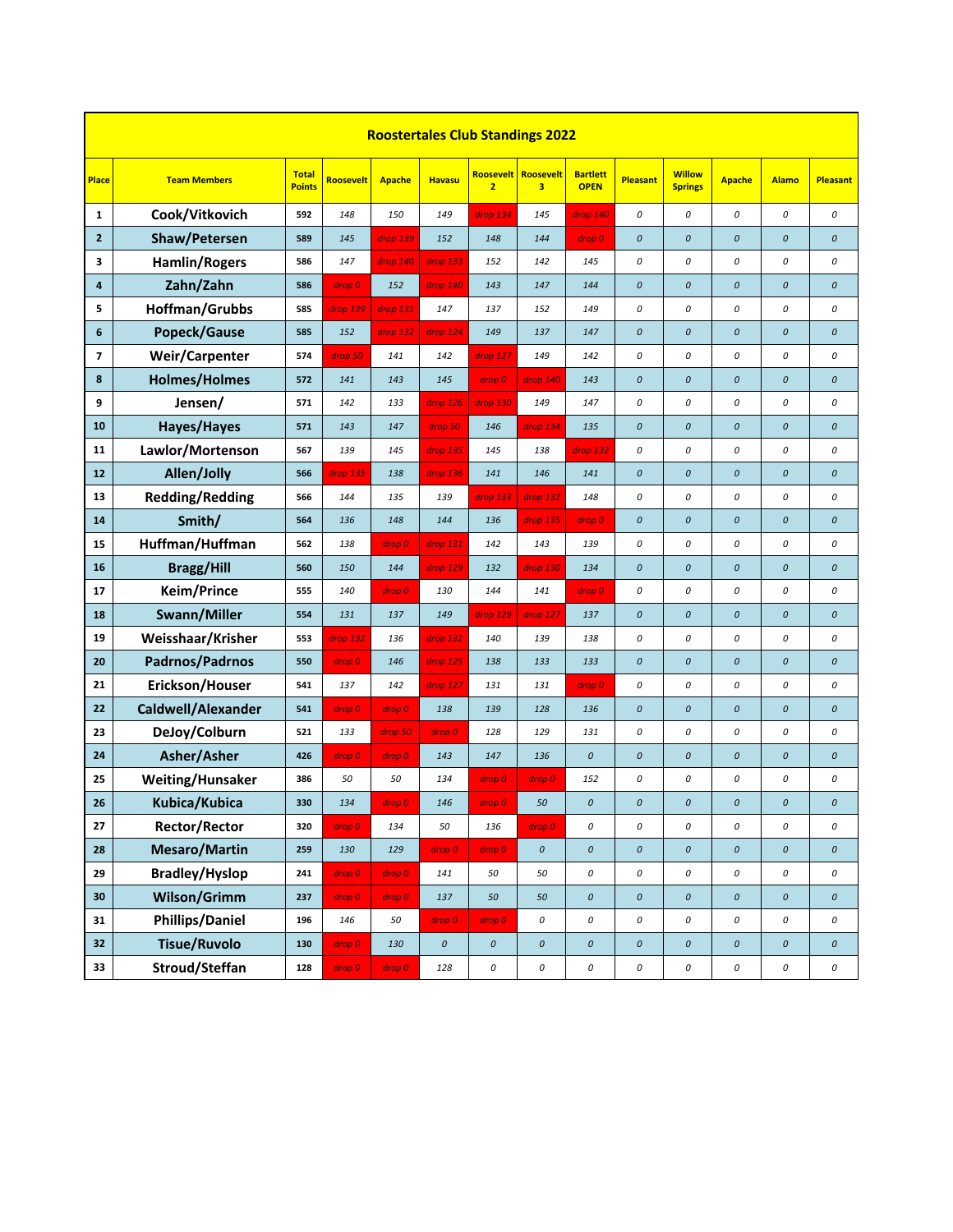|                | <b>Roostertales Club Standings 2022</b> |                               |                  |               |                    |                |                            |                                |                    |                                 |                    |                    |                    |  |
|----------------|-----------------------------------------|-------------------------------|------------------|---------------|--------------------|----------------|----------------------------|--------------------------------|--------------------|---------------------------------|--------------------|--------------------|--------------------|--|
| Place          | <b>Team Members</b>                     | <b>Total</b><br><b>Points</b> | <b>Roosevelt</b> | <b>Apache</b> | <b>Havasu</b>      | $\overline{2}$ | Roosevelt   Roosevelt<br>3 | <b>Bartlett</b><br><b>OPEN</b> | <b>Pleasant</b>    | <b>Willow</b><br><b>Springs</b> | <b>Apache</b>      | <b>Alamo</b>       | <b>Pleasant</b>    |  |
| 1              | Cook/Vitkovich                          | 592                           | 148              | 150           | 149                | drop 134       | 145                        | drop 140                       | 0                  | 0                               | 0                  | 0                  | 0                  |  |
| $\overline{2}$ | Shaw/Petersen                           | 589                           | 145              | drop 139      | 152                | 148            | 144                        | drop 0                         | $\mathcal{O}$      | $\pmb{\mathit{o}}$              | $\mathcal{O}$      | $\pmb{\mathit{O}}$ | $\boldsymbol{o}$   |  |
| 3              | <b>Hamlin/Rogers</b>                    | 586                           | 147              | drop 140      | drop 133           | 152            | 142                        | 145                            | 0                  | 0                               | 0                  | 0                  | 0                  |  |
| 4              | Zahn/Zahn                               | 586                           | drop 0           | 152           | drop 140           | 143            | 147                        | 144                            | 0                  | $\pmb{\mathit{O}}$              | 0                  | $\pmb{\mathit{O}}$ | $\boldsymbol{o}$   |  |
| 5              | Hoffman/Grubbs                          | 585                           | drop 129         | drop 131      | 147                | 137            | 152                        | 149                            | 0                  | 0                               | 0                  | 0                  | 0                  |  |
| 6              | Popeck/Gause                            | 585                           | 152              | drop 132      | drop 124           | 149            | 137                        | 147                            | 0                  | $\pmb{\mathit{O}}$              | $\pmb{\mathit{O}}$ | $\it{O}$           | $\boldsymbol{o}$   |  |
| 7              | Weir/Carpenter                          | 574                           | drop 50          | 141           | 142                | drop 127       | 149                        | 142                            | 0                  | $\cal O$                        | 0                  | 0                  | 0                  |  |
| 8              | <b>Holmes/Holmes</b>                    | 572                           | 141              | 143           | 145                | drop 0         | drop 140                   | 143                            | 0                  | $\pmb{\mathit{O}}$              | 0                  | $\it{O}$           | $\boldsymbol{o}$   |  |
| 9              | Jensen/                                 | 571                           | 142              | 133           | drop 126           | drop 130       | 149                        | 147                            | 0                  | $\cal O$                        | 0                  | 0                  | 0                  |  |
| 10             | Hayes/Hayes                             | 571                           | 143              | 147           | drop 50            | 146            | drop 134                   | 135                            | 0                  | $\pmb{\mathit{O}}$              | $\pmb{\mathit{O}}$ | $\pmb{\mathit{O}}$ | $\boldsymbol{o}$   |  |
| 11             | Lawlor/Mortenson                        | 567                           | 139              | 145           | drop 135           | 145            | 138                        | drop 132                       | 0                  | $\cal O$                        | 0                  | 0                  | 0                  |  |
| 12             | Allen/Jolly                             | 566                           | drop 135         | 138           | drop 136           | 141            | 146                        | 141                            | 0                  | $\it{O}$                        | 0                  | $\pmb{\mathit{O}}$ | $\boldsymbol{o}$   |  |
| 13             | <b>Redding/Redding</b>                  | 566                           | 144              | 135           | 139                | drop 133       | drop 132                   | 148                            | 0                  | $\cal O$                        | 0                  | 0                  | 0                  |  |
| 14             | Smith/                                  | 564                           | 136              | 148           | 144                | 136            | drop 135                   | drop 0                         | 0                  | $\it{O}$                        | 0                  | $\pmb{\mathit{O}}$ | $\pmb{\mathit{o}}$ |  |
| 15             | Huffman/Huffman                         | 562                           | 138              | drop 0        | drop 131           | 142            | 143                        | 139                            | 0                  | $\cal O$                        | 0                  | 0                  | 0                  |  |
| 16             | <b>Bragg/Hill</b>                       | 560                           | 150              | 144           | drop 129           | 132            | drop 130                   | 134                            | 0                  | $\it{O}$                        | 0                  | $\pmb{\mathit{O}}$ | $\boldsymbol{o}$   |  |
| 17             | Keim/Prince                             | 555                           | 140              | drop 0        | 130                | 144            | 141                        | drop 0                         | 0                  | $\cal O$                        | 0                  | 0                  | 0                  |  |
| 18             | Swann/Miller                            | 554                           | 131              | 137           | 149                | drop 129       | drop 127                   | 137                            | $\pmb{\mathit{O}}$ | $\it{O}$                        | $\pmb{\mathit{O}}$ | $\it{O}$           | $\pmb{\mathit{O}}$ |  |
| 19             | Weisshaar/Krisher                       | 553                           | drop 132         | 136           | drop 132           | 140            | 139                        | 138                            | 0                  | 0                               | 0                  | 0                  | 0                  |  |
| 20             | Padrnos/Padrnos                         | 550                           | drop 0           | 146           | drop 125           | 138            | 133                        | 133                            | 0                  | $\pmb{\mathit{O}}$              | 0                  | $\it{O}$           | $\boldsymbol{o}$   |  |
| 21             | Erickson/Houser                         | 541                           | 137              | 142           | drop 127           | 131            | 131                        | drop 0                         | 0                  | 0                               | 0                  | 0                  | 0                  |  |
| 22             | Caldwell/Alexander                      | 541                           | drop 0           | drop 0        | 138                | 139            | 128                        | 136                            | $\pmb{\mathit{O}}$ | $\cal O$                        | $\pmb{\mathit{O}}$ | $\pmb{\mathit{O}}$ | $\pmb{\mathit{o}}$ |  |
| 23             | DeJoy/Colburn                           | 521                           | 133              | drop 50       | drop 0             | 128            | 129                        | 131                            | 0                  | 0                               | 0                  | 0                  | 0                  |  |
| 24             | Asher/Asher                             | 426                           | drop 0           | drop 0        | 143                | 147            | 136                        | $\boldsymbol{o}$               | 0                  | $\cal O$                        | $\pmb{\mathit{O}}$ | $\pmb{\mathit{O}}$ | $\pmb{\mathit{o}}$ |  |
| 25             | Weiting/Hunsaker                        | 386                           | 50               | 50            | 134                | drop 0         | drop 0                     | 152                            | 0                  | 0                               | 0                  | 0                  | 0                  |  |
| 26             | Kubica/Kubica                           | 330                           | 134              | drop 0        | 146                | drop 0         | 50                         | 0                              | 0                  | 0                               | 0                  | $\boldsymbol{0}$   | 0                  |  |
| 27             | Rector/Rector                           | 320                           | drop 0           | 134           | 50                 | 136            | drop 0                     | 0                              | 0                  | 0                               | 0                  | 0                  | 0                  |  |
| ${\bf 28}$     | <b>Mesaro/Martin</b>                    | 259                           | 130              | 129           | drop 0             | drop 0         | $\pmb{\mathit{O}}$         | $\pmb{\mathit{o}}$             | $\pmb{\mathit{o}}$ | $\pmb{\mathit{O}}$              | $\pmb{\mathit{O}}$ | $\pmb{\mathit{O}}$ | $\pmb{\mathit{O}}$ |  |
| 29             | <b>Bradley/Hyslop</b>                   | 241                           | drop 0           | drop 0        | 141                | 50             | 50                         | 0                              | 0                  | $\cal O$                        | 0                  | 0                  | 0                  |  |
| $\bf{30}$      | Wilson/Grimm                            | 237                           | drop 0           | drop 0        | 137                | 50             | 50                         | $\pmb{\mathit{O}}$             | $\pmb{\mathit{O}}$ | $\cal O$                        | $\pmb{\mathit{O}}$ | $\pmb{\mathit{O}}$ | $\pmb{\mathit{O}}$ |  |
| 31             | <b>Phillips/Daniel</b>                  | 196                           | 146              | 50            | drop 0             | drop 0         | 0                          | 0                              | 0                  | $\cal O$                        | 0                  | 0                  | 0                  |  |
| 32             | <b>Tisue/Ruvolo</b>                     | 130                           | drop 0           | 130           | $\pmb{\mathit{O}}$ | $\it{O}$       | $\pmb{\mathit{O}}$         | $\pmb{\mathit{O}}$             | $\pmb{\mathit{O}}$ | $\pmb{\mathit{O}}$              | $\pmb{o}$          | $\pmb{\mathit{O}}$ | $\pmb{\mathit{O}}$ |  |
| 33             | Stroud/Steffan                          | 128                           | drop 0           | drop 0        | 128                | 0              | 0                          | 0                              | 0                  | $\cal O$                        | 0                  | 0                  | 0                  |  |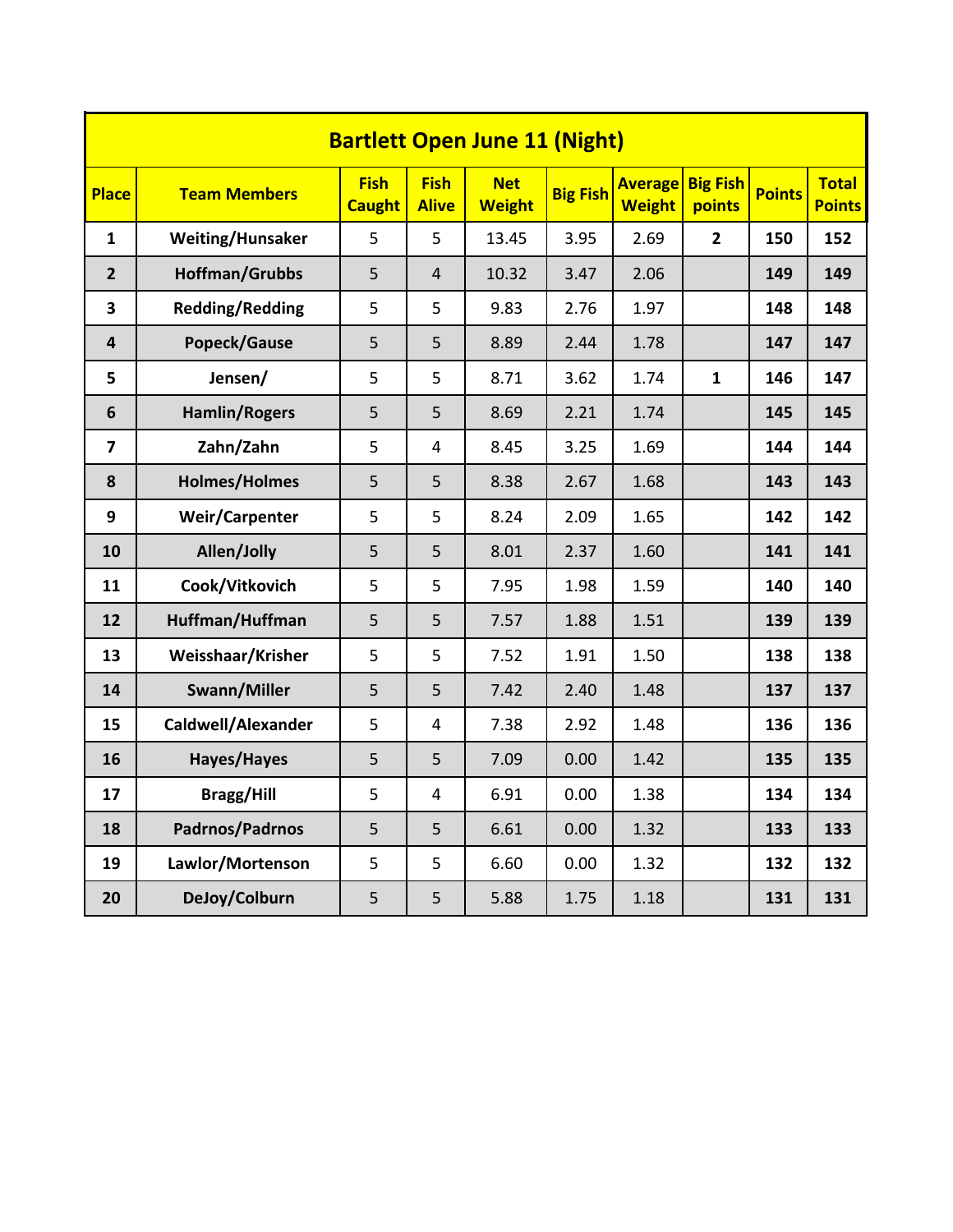| <b>Bartlett Open June 11 (Night)</b> |                        |                              |                             |                             |                 |                                 |                           |               |                               |  |  |  |  |
|--------------------------------------|------------------------|------------------------------|-----------------------------|-----------------------------|-----------------|---------------------------------|---------------------------|---------------|-------------------------------|--|--|--|--|
| <b>Place</b>                         | <b>Team Members</b>    | <b>Fish</b><br><b>Caught</b> | <b>Fish</b><br><b>Alive</b> | <b>Net</b><br><b>Weight</b> | <b>Big Fish</b> | <b>Average</b><br><b>Weight</b> | <b>Big Fish</b><br>points | <b>Points</b> | <b>Total</b><br><b>Points</b> |  |  |  |  |
| $\mathbf{1}$                         | Weiting/Hunsaker       | 5                            | 5                           | 13.45                       | 3.95            | 2.69                            | $\overline{2}$            | 150           | 152                           |  |  |  |  |
| $\overline{2}$                       | Hoffman/Grubbs         | 5                            | $\overline{4}$              | 10.32                       | 3.47            | 2.06                            |                           | 149           | 149                           |  |  |  |  |
| 3                                    | <b>Redding/Redding</b> | 5                            | 5                           | 9.83                        | 2.76            | 1.97                            |                           | 148           | 148                           |  |  |  |  |
| 4                                    | Popeck/Gause           | 5                            | 5                           | 8.89                        | 2.44            | 1.78                            |                           | 147           | 147                           |  |  |  |  |
| 5                                    | Jensen/                | 5                            | 5                           | 8.71                        | 3.62            | 1.74                            | $\mathbf{1}$              | 146           | 147                           |  |  |  |  |
| 6                                    | <b>Hamlin/Rogers</b>   | 5                            | 5                           | 8.69                        | 2.21            | 1.74                            |                           | 145           | 145                           |  |  |  |  |
| $\overline{7}$                       | Zahn/Zahn              | 5                            | $\overline{4}$              | 8.45                        | 3.25            | 1.69                            |                           | 144           | 144                           |  |  |  |  |
| 8                                    | <b>Holmes/Holmes</b>   | 5                            | 5                           | 8.38                        | 2.67            | 1.68                            |                           | 143           | 143                           |  |  |  |  |
| 9                                    | <b>Weir/Carpenter</b>  | 5                            | 5                           | 8.24                        | 2.09            | 1.65                            |                           | 142           | 142                           |  |  |  |  |
| 10                                   | Allen/Jolly            | 5                            | 5                           | 8.01                        | 2.37            | 1.60                            |                           | 141           | 141                           |  |  |  |  |
| 11                                   | Cook/Vitkovich         | 5                            | 5                           | 7.95                        | 1.98            | 1.59                            |                           | 140           | 140                           |  |  |  |  |
| 12                                   | Huffman/Huffman        | 5                            | 5                           | 7.57                        | 1.88            | 1.51                            |                           | 139           | 139                           |  |  |  |  |
| 13                                   | Weisshaar/Krisher      | 5                            | 5                           | 7.52                        | 1.91            | 1.50                            |                           | 138           | 138                           |  |  |  |  |
| 14                                   | Swann/Miller           | 5                            | 5                           | 7.42                        | 2.40            | 1.48                            |                           | 137           | 137                           |  |  |  |  |
| 15                                   | Caldwell/Alexander     | 5                            | 4                           | 7.38                        | 2.92            | 1.48                            |                           | 136           | 136                           |  |  |  |  |
| 16                                   | Hayes/Hayes            | 5                            | 5                           | 7.09                        | 0.00            | 1.42                            |                           | 135           | 135                           |  |  |  |  |
| 17                                   | <b>Bragg/Hill</b>      | 5                            | $\overline{4}$              | 6.91                        | 0.00            | 1.38                            |                           | 134           | 134                           |  |  |  |  |
| 18                                   | Padrnos/Padrnos        | 5                            | 5                           | 6.61                        | 0.00            | 1.32                            |                           | 133           | 133                           |  |  |  |  |
| 19                                   | Lawlor/Mortenson       | 5                            | 5                           | 6.60                        | 0.00            | 1.32                            |                           | 132           | 132                           |  |  |  |  |
| 20                                   | DeJoy/Colburn          | 5                            | 5                           | 5.88                        | 1.75            | 1.18                            |                           | 131           | 131                           |  |  |  |  |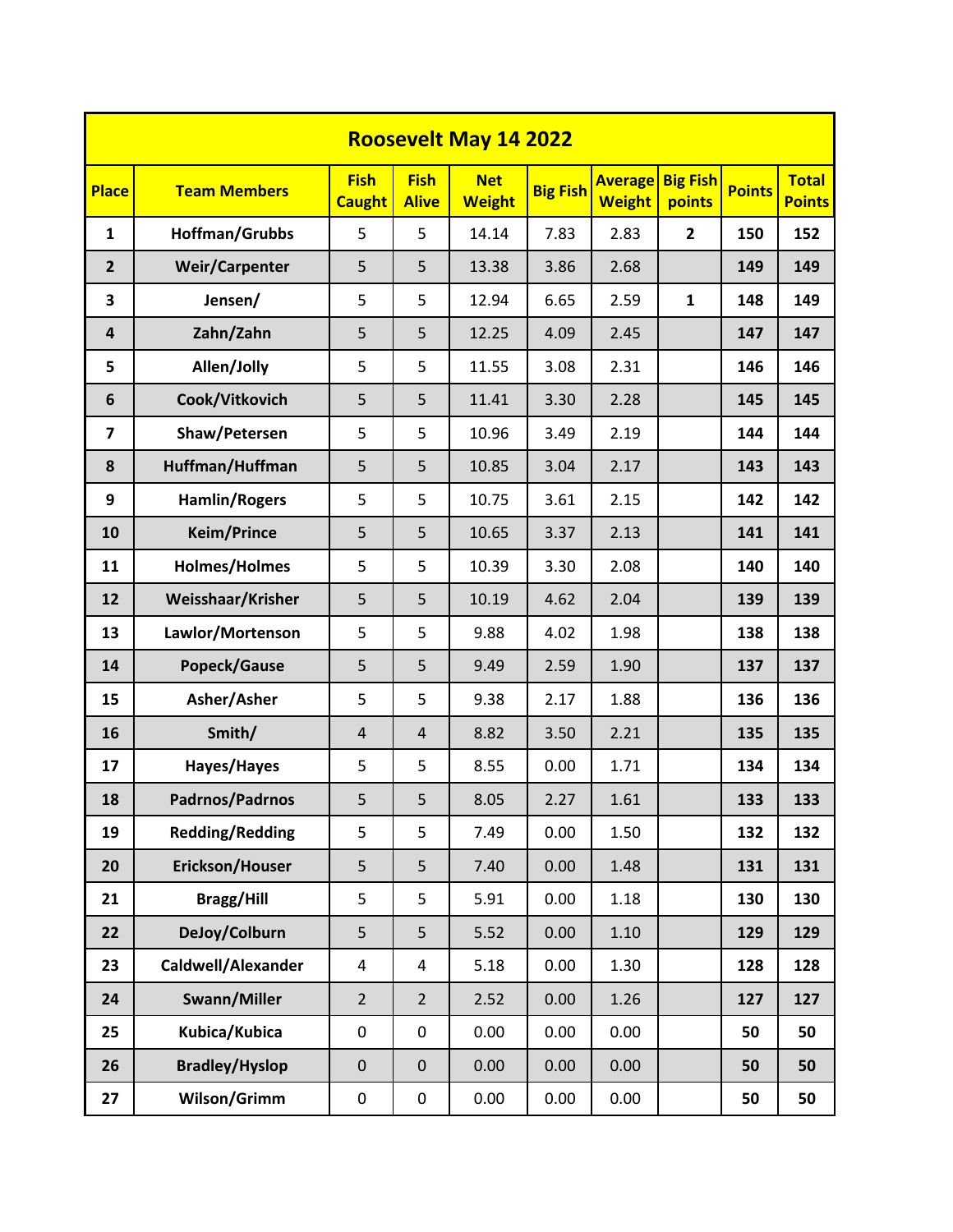|                         | <b>Roosevelt May 14 2022</b> |                              |                             |                             |                 |                                 |                           |               |                               |  |  |  |  |  |
|-------------------------|------------------------------|------------------------------|-----------------------------|-----------------------------|-----------------|---------------------------------|---------------------------|---------------|-------------------------------|--|--|--|--|--|
| <b>Place</b>            | <b>Team Members</b>          | <b>Fish</b><br><b>Caught</b> | <b>Fish</b><br><b>Alive</b> | <b>Net</b><br><b>Weight</b> | <b>Big Fish</b> | <b>Average</b><br><b>Weight</b> | <b>Big Fish</b><br>points | <b>Points</b> | <b>Total</b><br><b>Points</b> |  |  |  |  |  |
| $\mathbf{1}$            | Hoffman/Grubbs               | 5                            | 5                           | 14.14                       | 7.83            | 2.83                            | $\mathbf{2}$              | 150           | 152                           |  |  |  |  |  |
| $\overline{2}$          | <b>Weir/Carpenter</b>        | 5                            | 5                           | 13.38                       | 3.86            | 2.68                            |                           | 149           | 149                           |  |  |  |  |  |
| 3                       | Jensen/                      | 5                            | 5                           | 12.94                       | 6.65            | 2.59                            | $\mathbf{1}$              | 148           | 149                           |  |  |  |  |  |
| $\overline{4}$          | Zahn/Zahn                    | 5                            | 5                           | 12.25                       | 4.09            | 2.45                            |                           | 147           | 147                           |  |  |  |  |  |
| 5                       | Allen/Jolly                  | 5                            | 5                           | 11.55                       | 3.08            | 2.31                            |                           | 146           | 146                           |  |  |  |  |  |
| 6                       | Cook/Vitkovich               | 5                            | 5                           | 11.41                       | 3.30            | 2.28                            |                           | 145           | 145                           |  |  |  |  |  |
| $\overline{\mathbf{z}}$ | Shaw/Petersen                | 5                            | 5                           | 10.96                       | 3.49            | 2.19                            |                           | 144           | 144                           |  |  |  |  |  |
| 8                       | Huffman/Huffman              | 5                            | 5                           | 10.85                       | 3.04            | 2.17                            |                           | 143           | 143                           |  |  |  |  |  |
| $\boldsymbol{9}$        | <b>Hamlin/Rogers</b>         | 5                            | 5                           | 10.75                       | 3.61            | 2.15                            |                           | 142           | 142                           |  |  |  |  |  |
| 10                      | <b>Keim/Prince</b>           | 5                            | 5                           | 10.65                       | 3.37            | 2.13                            |                           | 141           | 141                           |  |  |  |  |  |
| 11                      | <b>Holmes/Holmes</b>         | 5                            | 5                           | 10.39                       | 3.30            | 2.08                            |                           | 140           | 140                           |  |  |  |  |  |
| 12                      | Weisshaar/Krisher            | 5                            | 5                           | 10.19                       | 4.62            | 2.04                            |                           | 139           | 139                           |  |  |  |  |  |
| 13                      | Lawlor/Mortenson             | 5                            | 5                           | 9.88                        | 4.02            | 1.98                            |                           | 138           | 138                           |  |  |  |  |  |
| 14                      | Popeck/Gause                 | 5                            | 5                           | 9.49                        | 2.59            | 1.90                            |                           | 137           | 137                           |  |  |  |  |  |
| 15                      | Asher/Asher                  | 5                            | 5                           | 9.38                        | 2.17            | 1.88                            |                           | 136           | 136                           |  |  |  |  |  |
| 16                      | Smith/                       | $\overline{4}$               | $\overline{4}$              | 8.82                        | 3.50            | 2.21                            |                           | 135           | 135                           |  |  |  |  |  |
| 17                      | Hayes/Hayes                  | 5                            | 5                           | 8.55                        | 0.00            | 1.71                            |                           | 134           | 134                           |  |  |  |  |  |
| 18                      | Padrnos/Padrnos              | 5                            | 5                           | 8.05                        | 2.27            | 1.61                            |                           | 133           | 133                           |  |  |  |  |  |
| 19                      | <b>Redding/Redding</b>       | 5                            | 5                           | 7.49                        | 0.00            | 1.50                            |                           | 132           | 132                           |  |  |  |  |  |
| 20                      | Erickson/Houser              | 5                            | 5                           | 7.40                        | 0.00            | 1.48                            |                           | 131           | 131                           |  |  |  |  |  |
| 21                      | <b>Bragg/Hill</b>            | 5                            | 5                           | 5.91                        | 0.00            | 1.18                            |                           | 130           | 130                           |  |  |  |  |  |
| 22                      | DeJoy/Colburn                | 5                            | 5                           | 5.52                        | 0.00            | 1.10                            |                           | 129           | 129                           |  |  |  |  |  |
| 23                      | Caldwell/Alexander           | 4                            | $\overline{4}$              | 5.18                        | 0.00            | 1.30                            |                           | 128           | 128                           |  |  |  |  |  |
| 24                      | Swann/Miller                 | $\overline{2}$               | $\overline{2}$              | 2.52                        | 0.00            | 1.26                            |                           | 127           | 127                           |  |  |  |  |  |
| 25                      | Kubica/Kubica                | $\pmb{0}$                    | $\pmb{0}$                   | 0.00                        | 0.00            | 0.00                            |                           | 50            | 50                            |  |  |  |  |  |
| 26                      | <b>Bradley/Hyslop</b>        | $\mathbf 0$                  | $\mathbf 0$                 | 0.00                        | 0.00            | 0.00                            |                           | 50            | 50                            |  |  |  |  |  |
| 27                      | Wilson/Grimm                 | 0                            | $\pmb{0}$                   | 0.00                        | 0.00            | 0.00                            |                           | 50            | 50                            |  |  |  |  |  |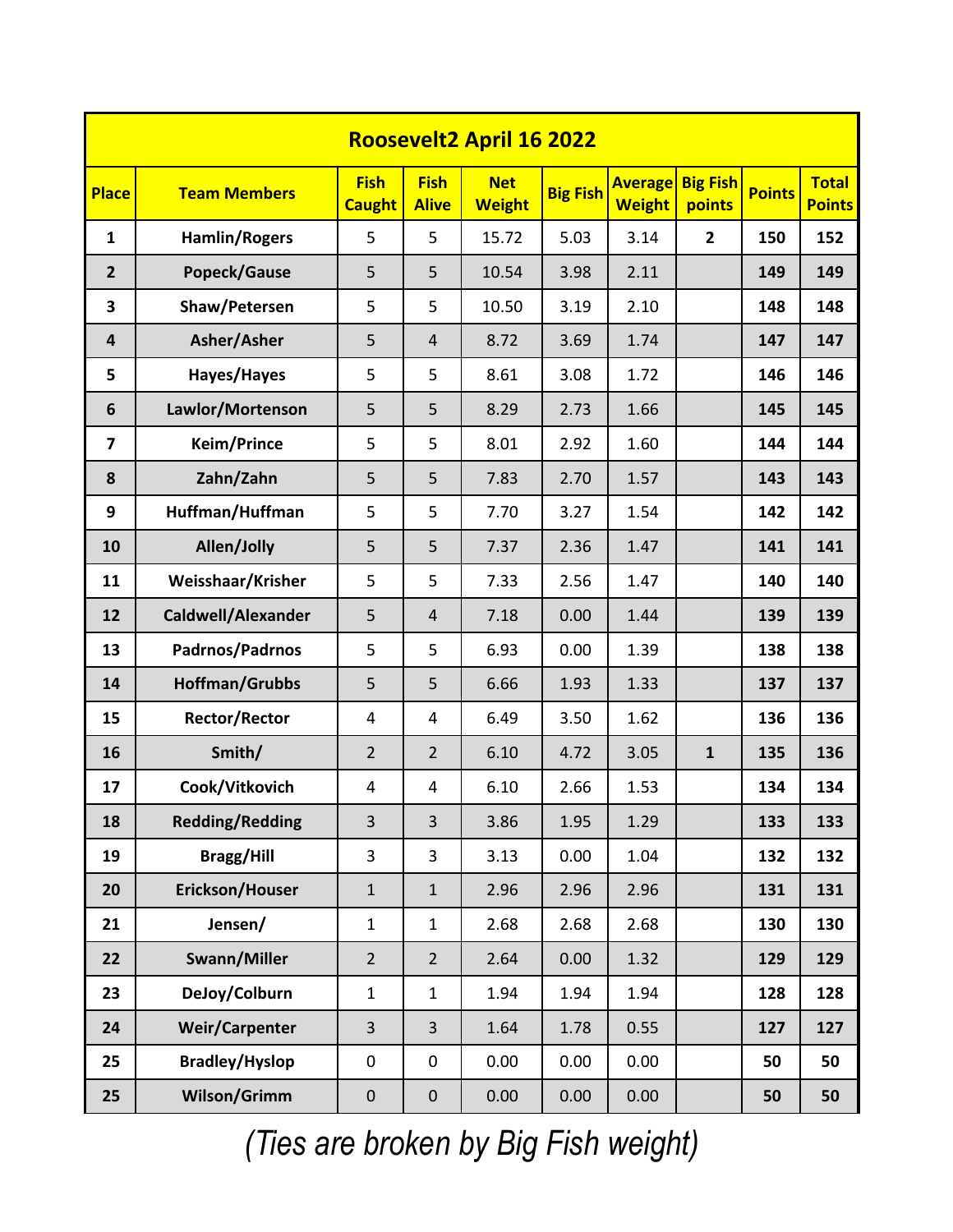|                         | <b>Roosevelt2 April 16 2022</b> |                              |                             |                             |                 |                                 |                           |               |                               |  |  |  |  |  |
|-------------------------|---------------------------------|------------------------------|-----------------------------|-----------------------------|-----------------|---------------------------------|---------------------------|---------------|-------------------------------|--|--|--|--|--|
| <b>Place</b>            | <b>Team Members</b>             | <b>Fish</b><br><b>Caught</b> | <b>Fish</b><br><b>Alive</b> | <b>Net</b><br><b>Weight</b> | <b>Big Fish</b> | <b>Average</b><br><b>Weight</b> | <b>Big Fish</b><br>points | <b>Points</b> | <b>Total</b><br><b>Points</b> |  |  |  |  |  |
| $\mathbf{1}$            | <b>Hamlin/Rogers</b>            | 5                            | 5                           | 15.72                       | 5.03            | 3.14                            | $\overline{2}$            | 150           | 152                           |  |  |  |  |  |
| $\overline{2}$          | Popeck/Gause                    | 5                            | 5                           | 10.54                       | 3.98            | 2.11                            |                           | 149           | 149                           |  |  |  |  |  |
| 3                       | Shaw/Petersen                   | 5                            | 5                           | 10.50                       | 3.19            | 2.10                            |                           | 148           | 148                           |  |  |  |  |  |
| 4                       | Asher/Asher                     | 5                            | $\overline{4}$              | 8.72                        | 3.69            | 1.74                            |                           | 147           | 147                           |  |  |  |  |  |
| 5                       | Hayes/Hayes                     | 5                            | 5                           | 8.61                        | 3.08            | 1.72                            |                           | 146           | 146                           |  |  |  |  |  |
| 6                       | Lawlor/Mortenson                | 5                            | 5                           | 8.29                        | 2.73            | 1.66                            |                           | 145           | 145                           |  |  |  |  |  |
| $\overline{\mathbf{z}}$ | <b>Keim/Prince</b>              | 5                            | 5                           | 8.01                        | 2.92            | 1.60                            |                           | 144           | 144                           |  |  |  |  |  |
| 8                       | Zahn/Zahn                       | 5                            | 5                           | 7.83                        | 2.70            | 1.57                            |                           | 143           | 143                           |  |  |  |  |  |
| 9                       | Huffman/Huffman                 | 5                            | 5                           | 7.70                        | 3.27            | 1.54                            |                           | 142           | 142                           |  |  |  |  |  |
| 10                      | Allen/Jolly                     | 5                            | 5                           | 7.37                        | 2.36            | 1.47                            |                           | 141           | 141                           |  |  |  |  |  |
| 11                      | Weisshaar/Krisher               | 5                            | 5                           | 7.33                        | 2.56            | 1.47                            |                           | 140           | 140                           |  |  |  |  |  |
| 12                      | Caldwell/Alexander              | 5                            | $\overline{4}$              | 7.18                        | 0.00            | 1.44                            |                           | 139           | 139                           |  |  |  |  |  |
| 13                      | Padrnos/Padrnos                 | 5                            | 5                           | 6.93                        | 0.00            | 1.39                            |                           | 138           | 138                           |  |  |  |  |  |
| 14                      | <b>Hoffman/Grubbs</b>           | 5                            | 5                           | 6.66                        | 1.93            | 1.33                            |                           | 137           | 137                           |  |  |  |  |  |
| 15                      | <b>Rector/Rector</b>            | 4                            | 4                           | 6.49                        | 3.50            | 1.62                            |                           | 136           | 136                           |  |  |  |  |  |
| 16                      | Smith/                          | $\overline{2}$               | $\overline{2}$              | 6.10                        | 4.72            | 3.05                            | $\mathbf{1}$              | 135           | 136                           |  |  |  |  |  |
| 17                      | Cook/Vitkovich                  | 4                            | $\overline{4}$              | 6.10                        | 2.66            | 1.53                            |                           | 134           | 134                           |  |  |  |  |  |
| 18                      | <b>Redding/Redding</b>          | 3                            | 3                           | 3.86                        | 1.95            | 1.29                            |                           | 133           | 133                           |  |  |  |  |  |
| 19                      | <b>Bragg/Hill</b>               | 3                            | $\overline{3}$              | 3.13                        | 0.00            | 1.04                            |                           | 132           | 132                           |  |  |  |  |  |
| 20                      | Erickson/Houser                 | $\mathbf{1}$                 | $\mathbf{1}$                | 2.96                        | 2.96            | 2.96                            |                           | 131           | 131                           |  |  |  |  |  |
| 21                      | Jensen/                         | $\mathbf{1}$                 | $\mathbf{1}$                | 2.68                        | 2.68            | 2.68                            |                           | 130           | 130                           |  |  |  |  |  |
| 22                      | Swann/Miller                    | $\overline{2}$               | $\overline{2}$              | 2.64                        | 0.00            | 1.32                            |                           | 129           | 129                           |  |  |  |  |  |
| 23                      | DeJoy/Colburn                   | $\mathbf{1}$                 | $\mathbf{1}$                | 1.94                        | 1.94            | 1.94                            |                           | 128           | 128                           |  |  |  |  |  |
| 24                      | <b>Weir/Carpenter</b>           | 3                            | 3                           | 1.64                        | 1.78            | 0.55                            |                           | 127           | 127                           |  |  |  |  |  |
| 25                      | <b>Bradley/Hyslop</b>           | $\pmb{0}$                    | $\pmb{0}$                   | 0.00                        | 0.00            | 0.00                            |                           | 50            | 50                            |  |  |  |  |  |
| 25                      | Wilson/Grimm                    | $\pmb{0}$                    | $\pmb{0}$                   | 0.00                        | 0.00            | 0.00                            |                           | 50            | 50                            |  |  |  |  |  |

*(Ties are broken by Big Fish weight)*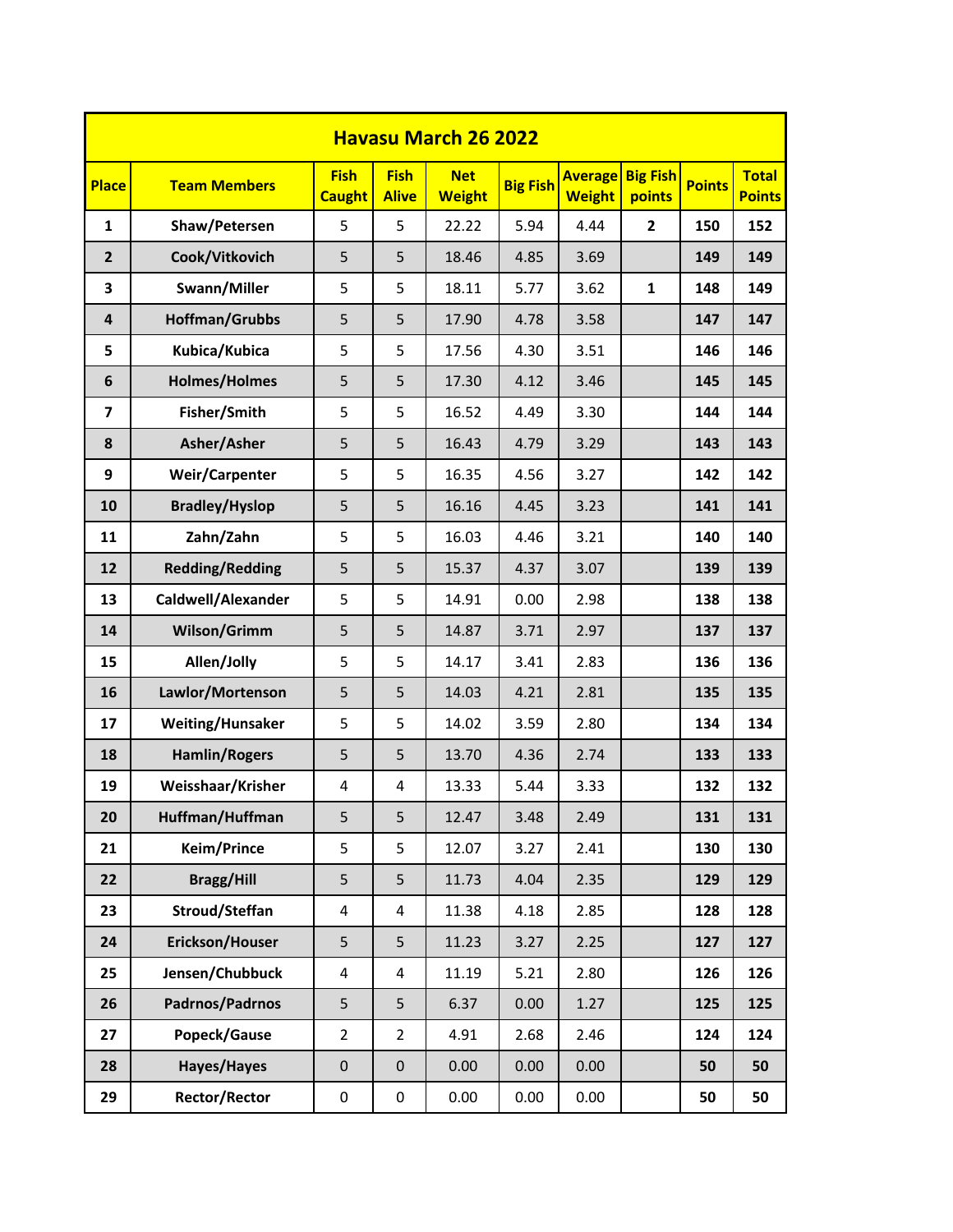|                         | <b>Havasu March 26 2022</b> |                              |                             |                             |                 |                                 |                           |               |                               |  |  |  |  |  |
|-------------------------|-----------------------------|------------------------------|-----------------------------|-----------------------------|-----------------|---------------------------------|---------------------------|---------------|-------------------------------|--|--|--|--|--|
| <b>Place</b>            | <b>Team Members</b>         | <b>Fish</b><br><b>Caught</b> | <b>Fish</b><br><b>Alive</b> | <b>Net</b><br><b>Weight</b> | <b>Big Fish</b> | <b>Average</b><br><b>Weight</b> | <b>Big Fish</b><br>points | <b>Points</b> | <b>Total</b><br><b>Points</b> |  |  |  |  |  |
| $\mathbf{1}$            | Shaw/Petersen               | 5                            | 5                           | 22.22                       | 5.94            | 4.44                            | $\overline{2}$            | 150           | 152                           |  |  |  |  |  |
| $\overline{2}$          | Cook/Vitkovich              | 5                            | 5                           | 18.46                       | 4.85            | 3.69                            |                           | 149           | 149                           |  |  |  |  |  |
| 3                       | Swann/Miller                | 5                            | 5                           | 18.11                       | 5.77            | 3.62                            | 1                         | 148           | 149                           |  |  |  |  |  |
| 4                       | <b>Hoffman/Grubbs</b>       | 5                            | 5                           | 17.90                       | 4.78            | 3.58                            |                           | 147           | 147                           |  |  |  |  |  |
| 5                       | Kubica/Kubica               | 5                            | 5                           | 17.56                       | 4.30            | 3.51                            |                           | 146           | 146                           |  |  |  |  |  |
| 6                       | <b>Holmes/Holmes</b>        | 5                            | 5                           | 17.30                       | 4.12            | 3.46                            |                           | 145           | 145                           |  |  |  |  |  |
| $\overline{\mathbf{z}}$ | Fisher/Smith                | 5                            | 5                           | 16.52                       | 4.49            | 3.30                            |                           | 144           | 144                           |  |  |  |  |  |
| 8                       | Asher/Asher                 | 5                            | 5                           | 16.43                       | 4.79            | 3.29                            |                           | 143           | 143                           |  |  |  |  |  |
| 9                       | <b>Weir/Carpenter</b>       | 5                            | 5                           | 16.35                       | 4.56            | 3.27                            |                           | 142           | 142                           |  |  |  |  |  |
| 10                      | <b>Bradley/Hyslop</b>       | 5                            | 5                           | 16.16                       | 4.45            | 3.23                            |                           | 141           | 141                           |  |  |  |  |  |
| 11                      | Zahn/Zahn                   | 5                            | 5                           | 16.03                       | 4.46            | 3.21                            |                           | 140           | 140                           |  |  |  |  |  |
| 12                      | <b>Redding/Redding</b>      | 5                            | 5                           | 15.37                       | 4.37            | 3.07                            |                           | 139           | 139                           |  |  |  |  |  |
| 13                      | Caldwell/Alexander          | 5                            | 5                           | 14.91                       | 0.00            | 2.98                            |                           | 138           | 138                           |  |  |  |  |  |
| 14                      | Wilson/Grimm                | 5                            | 5                           | 14.87                       | 3.71            | 2.97                            |                           | 137           | 137                           |  |  |  |  |  |
| 15                      | Allen/Jolly                 | 5                            | 5                           | 14.17                       | 3.41            | 2.83                            |                           | 136           | 136                           |  |  |  |  |  |
| 16                      | Lawlor/Mortenson            | 5                            | 5                           | 14.03                       | 4.21            | 2.81                            |                           | 135           | 135                           |  |  |  |  |  |
| 17                      | <b>Weiting/Hunsaker</b>     | 5                            | 5                           | 14.02                       | 3.59            | 2.80                            |                           | 134           | 134                           |  |  |  |  |  |
| 18                      | <b>Hamlin/Rogers</b>        | 5                            | 5                           | 13.70                       | 4.36            | 2.74                            |                           | 133           | 133                           |  |  |  |  |  |
| 19                      | Weisshaar/Krisher           | 4                            | 4                           | 13.33                       | 5.44            | 3.33                            |                           | 132           | 132                           |  |  |  |  |  |
| 20                      | Huffman/Huffman             | 5                            | 5                           | 12.47                       | 3.48            | 2.49                            |                           | 131           | 131                           |  |  |  |  |  |
| 21                      | <b>Keim/Prince</b>          | 5                            | 5                           | 12.07                       | 3.27            | 2.41                            |                           | 130           | 130                           |  |  |  |  |  |
| 22                      | <b>Bragg/Hill</b>           | 5                            | 5                           | 11.73                       | 4.04            | 2.35                            |                           | 129           | 129                           |  |  |  |  |  |
| 23                      | Stroud/Steffan              | $\sqrt{4}$                   | 4                           | 11.38                       | 4.18            | 2.85                            |                           | 128           | 128                           |  |  |  |  |  |
| 24                      | Erickson/Houser             | 5                            | 5                           | 11.23                       | 3.27            | 2.25                            |                           | 127           | 127                           |  |  |  |  |  |
| 25                      | Jensen/Chubbuck             | $\overline{\mathbf{4}}$      | 4                           | 11.19                       | 5.21            | 2.80                            |                           | 126           | 126                           |  |  |  |  |  |
| 26                      | Padrnos/Padrnos             | 5                            | 5                           | 6.37                        | 0.00            | 1.27                            |                           | 125           | 125                           |  |  |  |  |  |
| 27                      | Popeck/Gause                | $\overline{2}$               | $\overline{2}$              | 4.91                        | 2.68            | 2.46                            |                           | 124           | 124                           |  |  |  |  |  |
| 28                      | Hayes/Hayes                 | $\boldsymbol{0}$             | $\pmb{0}$                   | 0.00                        | 0.00            | 0.00                            |                           | 50            | 50                            |  |  |  |  |  |
| 29                      | <b>Rector/Rector</b>        | $\pmb{0}$                    | $\pmb{0}$                   | 0.00                        | 0.00            | 0.00                            |                           | 50            | 50                            |  |  |  |  |  |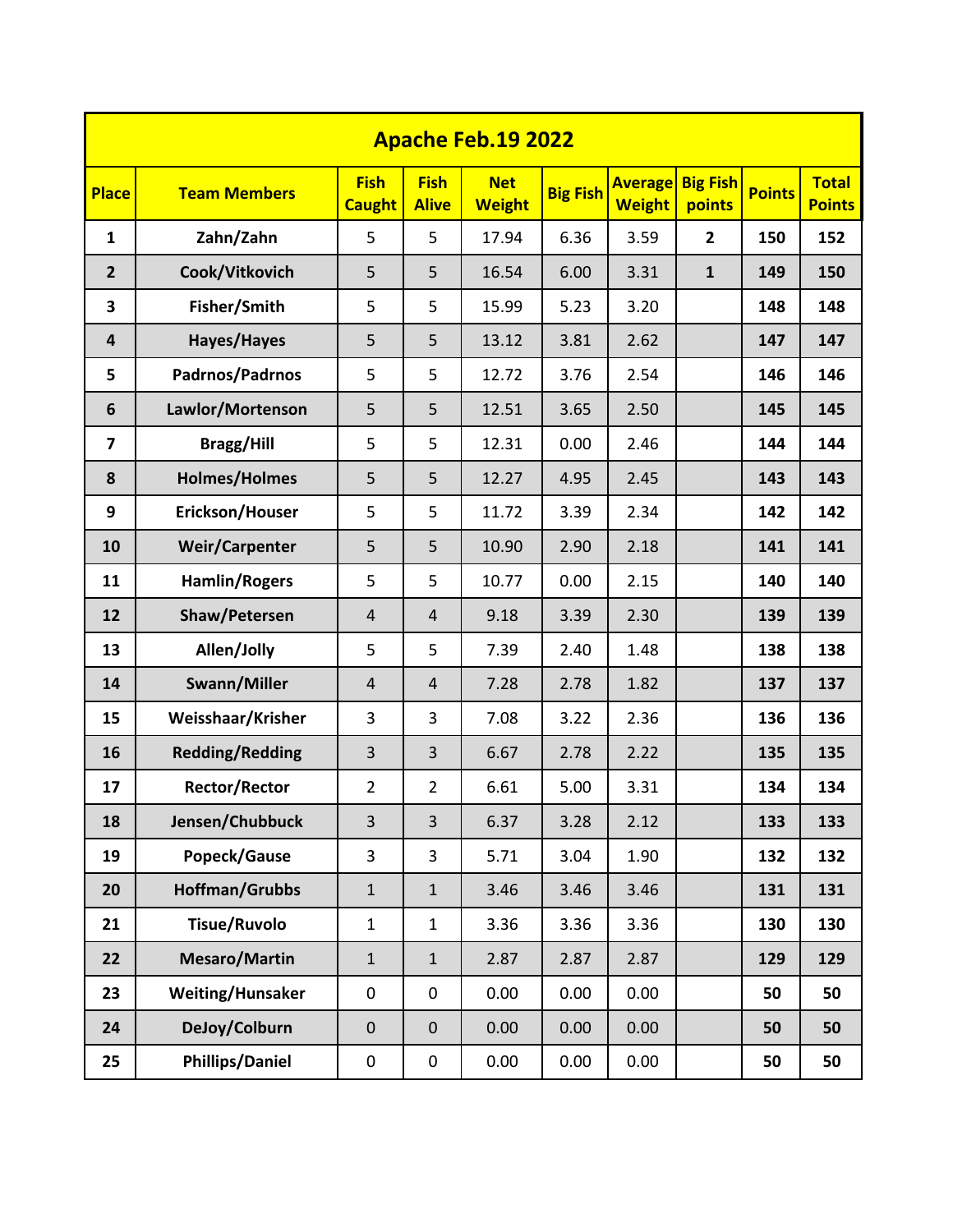|                | <b>Apache Feb.19 2022</b> |                              |                             |                             |                 |                                 |                           |               |                               |  |  |  |  |  |
|----------------|---------------------------|------------------------------|-----------------------------|-----------------------------|-----------------|---------------------------------|---------------------------|---------------|-------------------------------|--|--|--|--|--|
| <b>Place</b>   | <b>Team Members</b>       | <b>Fish</b><br><b>Caught</b> | <b>Fish</b><br><b>Alive</b> | <b>Net</b><br><b>Weight</b> | <b>Big Fish</b> | <b>Average</b><br><b>Weight</b> | <b>Big Fish</b><br>points | <b>Points</b> | <b>Total</b><br><b>Points</b> |  |  |  |  |  |
| $\mathbf{1}$   | Zahn/Zahn                 | 5                            | 5                           | 17.94                       | 6.36            | 3.59                            | $\overline{2}$            | 150           | 152                           |  |  |  |  |  |
| $\overline{2}$ | Cook/Vitkovich            | 5                            | 5                           | 16.54                       | 6.00            | 3.31                            | $\mathbf{1}$              | 149           | 150                           |  |  |  |  |  |
| 3              | Fisher/Smith              | 5                            | 5                           | 15.99                       | 5.23            | 3.20                            |                           | 148           | 148                           |  |  |  |  |  |
| 4              | Hayes/Hayes               | 5                            | 5                           | 13.12                       | 3.81            | 2.62                            |                           | 147           | 147                           |  |  |  |  |  |
| 5              | Padrnos/Padrnos           | 5                            | 5                           | 12.72                       | 3.76            | 2.54                            |                           | 146           | 146                           |  |  |  |  |  |
| 6              | Lawlor/Mortenson          | 5                            | 5                           | 12.51                       | 3.65            | 2.50                            |                           | 145           | 145                           |  |  |  |  |  |
| $\overline{ }$ | <b>Bragg/Hill</b>         | 5                            | 5                           | 12.31                       | 0.00            | 2.46                            |                           | 144           | 144                           |  |  |  |  |  |
| 8              | <b>Holmes/Holmes</b>      | 5                            | 5                           | 12.27                       | 4.95            | 2.45                            |                           | 143           | 143                           |  |  |  |  |  |
| 9              | Erickson/Houser           | 5                            | 5                           | 11.72                       | 3.39            | 2.34                            |                           | 142           | 142                           |  |  |  |  |  |
| 10             | <b>Weir/Carpenter</b>     | 5                            | 5                           | 10.90                       | 2.90            | 2.18                            |                           | 141           | 141                           |  |  |  |  |  |
| 11             | <b>Hamlin/Rogers</b>      | 5                            | 5                           | 10.77                       | 0.00            | 2.15                            |                           | 140           | 140                           |  |  |  |  |  |
| 12             | Shaw/Petersen             | $\overline{4}$               | $\overline{4}$              | 9.18                        | 3.39            | 2.30                            |                           | 139           | 139                           |  |  |  |  |  |
| 13             | Allen/Jolly               | 5                            | 5                           | 7.39                        | 2.40            | 1.48                            |                           | 138           | 138                           |  |  |  |  |  |
| 14             | Swann/Miller              | $\overline{4}$               | $\overline{4}$              | 7.28                        | 2.78            | 1.82                            |                           | 137           | 137                           |  |  |  |  |  |
| 15             | Weisshaar/Krisher         | 3                            | 3                           | 7.08                        | 3.22            | 2.36                            |                           | 136           | 136                           |  |  |  |  |  |
| 16             | <b>Redding/Redding</b>    | $\overline{3}$               | 3                           | 6.67                        | 2.78            | 2.22                            |                           | 135           | 135                           |  |  |  |  |  |
| 17             | <b>Rector/Rector</b>      | $\overline{2}$               | $\overline{2}$              | 6.61                        | 5.00            | 3.31                            |                           | 134           | 134                           |  |  |  |  |  |
| 18             | Jensen/Chubbuck           | $\overline{3}$               | 3                           | 6.37                        | 3.28            | 2.12                            |                           | 133           | 133                           |  |  |  |  |  |
| 19             | Popeck/Gause              | 3                            | 3                           | 5.71                        | 3.04            | 1.90                            |                           | 132           | 132                           |  |  |  |  |  |
| 20             | <b>Hoffman/Grubbs</b>     | $\mathbf 1$                  | $\mathbf 1$                 | 3.46                        | 3.46            | 3.46                            |                           | 131           | 131                           |  |  |  |  |  |
| 21             | <b>Tisue/Ruvolo</b>       | $\mathbf{1}$                 | $\mathbf{1}$                | 3.36                        | 3.36            | 3.36                            |                           | 130           | 130                           |  |  |  |  |  |
| 22             | Mesaro/Martin             | $\mathbf{1}$                 | $\mathbf{1}$                | 2.87                        | 2.87            | 2.87                            |                           | 129           | 129                           |  |  |  |  |  |
| 23             | Weiting/Hunsaker          | $\pmb{0}$                    | $\mathbf 0$                 | 0.00                        | 0.00            | 0.00                            |                           | 50            | 50                            |  |  |  |  |  |
| 24             | DeJoy/Colburn             | $\boldsymbol{0}$             | $\boldsymbol{0}$            | 0.00                        | 0.00            | 0.00                            |                           | 50            | 50                            |  |  |  |  |  |
| 25             | <b>Phillips/Daniel</b>    | 0                            | $\pmb{0}$                   | 0.00                        | 0.00            | 0.00                            |                           | 50            | 50                            |  |  |  |  |  |